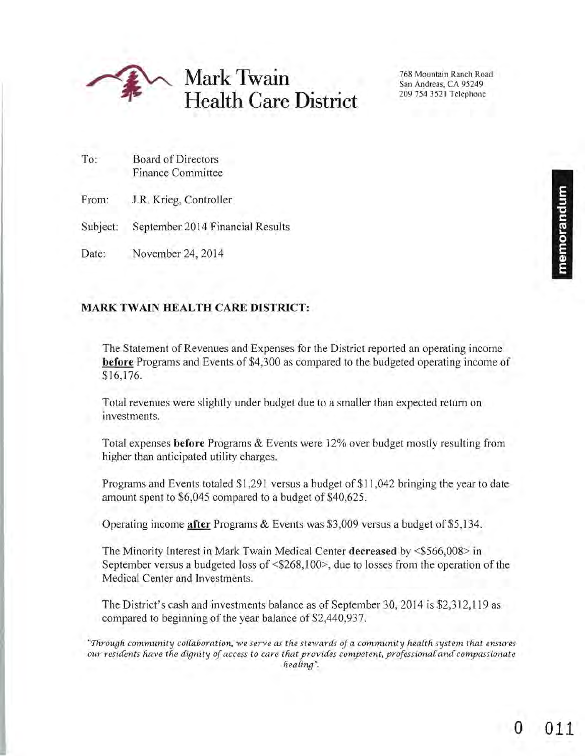

To: Board of Directors Finance Committee

From: J.R. Krieg, Controller

Subject: September 2014 Financial Results

Date: November 24, 2014

# **MARK TWAIN HEALTH CARE DISTRICT:**

The Statement of Revenues and Expenses for the District reported an operating income **before** Programs and Events of \$4,300 as compared to the budgeted operating income of \$16,176.

Total revenues were slightly under budget due to a smaller than expected return on investments.

Total expenses **before** Programs & Events were 12% over budget mostly resulting from higher than anticipated utility charges.

Programs and Events totaled \$1,291 versus a budget of \$11 ,042 bringing the year to date amount spent to \$6,045 compared to a budget of \$40,625.

Operating income **after** Programs & Events was \$3,009 versus a budget of \$5, 134.

The Minority Interest in Mark Twain Medical Center **decreased** by <\$566,008> in September versus a budgeted loss of <\$268,100>, due to losses from the operation of the Medical Center and Investments.

The District's cash and investments balance as of September 30, 2014 is \$2,312,119 as compared to beginning of the year balance of \$2,440,937.

*"Tlirougli community co{tal3oration,* we *se"/'ve as tlie stewardS ofa community liea{th system tliat ensures our residents have the dignity of access to care that provides competent, professional and compassionate*  $\mathit{healing}$ ".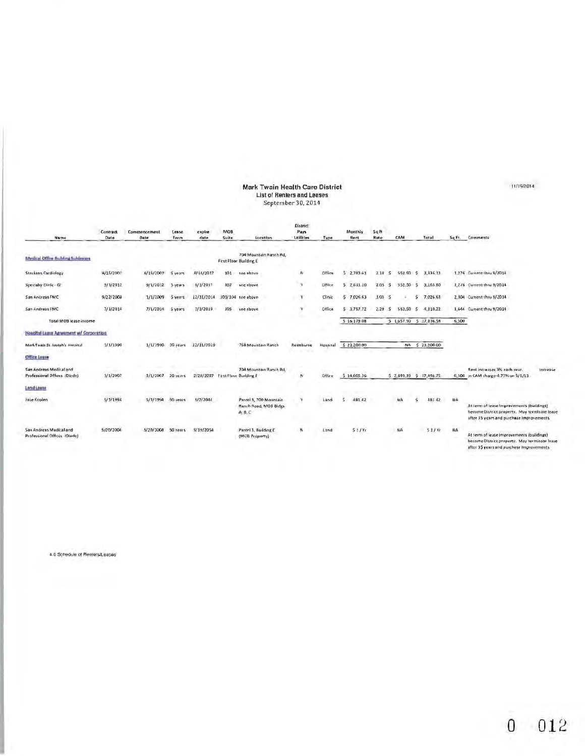# Mark Twain Health Care District<br>List of Renters and Leases<br>September 30, 2014

| Name                                                    | Contract<br>Date | Commencement<br>Date | Lesse<br>Term | expire<br>date                   | MOB<br>Suite | Location                                                   | <b>District</b><br>Pays<br><b>Utilities</b> | Type     | Monthly<br>Rent | 54B<br>Rate | CAM       |     | Total                   | Sq.Ft.    | Comments                                                                                                                                |
|---------------------------------------------------------|------------------|----------------------|---------------|----------------------------------|--------------|------------------------------------------------------------|---------------------------------------------|----------|-----------------|-------------|-----------|-----|-------------------------|-----------|-----------------------------------------------------------------------------------------------------------------------------------------|
| <b>Medical Office thulding Subleaues</b>                |                  |                      |               |                                  |              | 704 Mountain Ranch Rd.<br>First Floor Building E           |                                             |          |                 |             |           |     |                         |           |                                                                                                                                         |
| Stockton Cardiology                                     | 8/15/2007        | 8/15/2007            |               | 8/14/2017                        | 101          | see above                                                  | N                                           | Office   | 2.783.61<br>з   | 2.18<br>ß.  | 552.50    |     | 3,336.13                |           | 1,276 Current thru 9/2014                                                                                                               |
| Specialty Clinic - GI                                   | 9/1/2012         | 9/1/2012             | 5 years       | 9/1/2017                         | 102          | see above                                                  | ¥                                           | Office   | 5,7,611.10      | 2.05<br>S.  | 552.50    | s   | 3,163.60                |           | 1,276 Current thru 9/2014                                                                                                               |
| San Andreas FMC                                         | 9/22/200a        | 1/1/2009             | 5 years       | 12/31/2014                       | 103/104      | see above                                                  | Y                                           | Clinic   | 57.026.63       | 3.05<br>15  |           | s   | 7.026.63                |           | 2.304 Current thru 9/2014                                                                                                               |
| San Andreas FMC                                         | 7/1/2014         | 7/1/2014             | 5 years       | 7/1/2019                         | $105 -$      | see above                                                  |                                             | Office   | 5.3.757.72      | 2.29<br>ıs. | 552.50    | - 5 | $-4,310,22$             |           | 1,644 Current thru 9/2014                                                                                                               |
| Total MOB lease income                                  |                  |                      |               |                                  |              |                                                            |                                             |          | \$16,179.08     |             |           |     | 5 1,657.50 \$ 17,836.58 | 6,500     |                                                                                                                                         |
| Hospital Lease Agreement w/ Corporation                 |                  |                      |               |                                  |              |                                                            |                                             |          |                 |             |           |     |                         |           |                                                                                                                                         |
| Mark Twain St. Joseph's Hospital                        | 1/1/1990         | 1/1/1990             | 30 years      | 12/11/2019                       |              | 768 Mountain Ranch                                         | Reimburse                                   | Hospital | \$23,200.00     |             |           |     | NA \$ 23,200.00         |           |                                                                                                                                         |
| Office Lesse                                            |                  |                      |               |                                  |              |                                                            |                                             |          |                 |             |           |     |                         |           |                                                                                                                                         |
| San Andreas Medical and<br>Professional Offices (Diede) | 3/1/2007         | 3/1/2007             | 20 years      | 2/28/2027 First Floor Building E |              | 704 Mountain Ranch Rd.                                     | N                                           | Office   | 5 14,605.36     |             |           |     | 5 2,893,39 \$ 17,498.75 |           | Rent increases 3% each year.<br>Intrease<br>6,500 in CAM charge-4.73% on 5/1/13                                                         |
| <b>Lend Lease</b>                                       | distants.        |                      |               | <b>Contractor</b>                |              |                                                            |                                             |          |                 |             |           |     |                         |           |                                                                                                                                         |
| Jake Koplen                                             | 5/3/1994         | 3/3/1994             | -50 years     | 5/2/2044                         |              | Parcel 5, 700 Mountain<br>Ranch Road, MOB Bldgs<br>A, B, C |                                             | Land     | 481.42          |             | NA        |     | 48142                   | NA        | At term of lease Improvements (buildings)<br>hecome District property. May terminate lease<br>after 35 years and purchase improvements. |
| San Andreas Medical and<br>Professional Offices (Olede) | 5/20/2004        | 5/20/2004            | 50 years      | 5/19/2054                        |              | Parcel 3, Building E<br>(MOIl Property)                    | $\sim$                                      | Land     | 51/Yt           |             | <b>NA</b> |     | 31/11                   | <b>NA</b> | At term of lease Improvements (buildings)<br>become District property. May terminate lease<br>after 35 years and purchase improvements. |

4.0 Schedule of Renters/Leases

 $0$  012

11/19/2014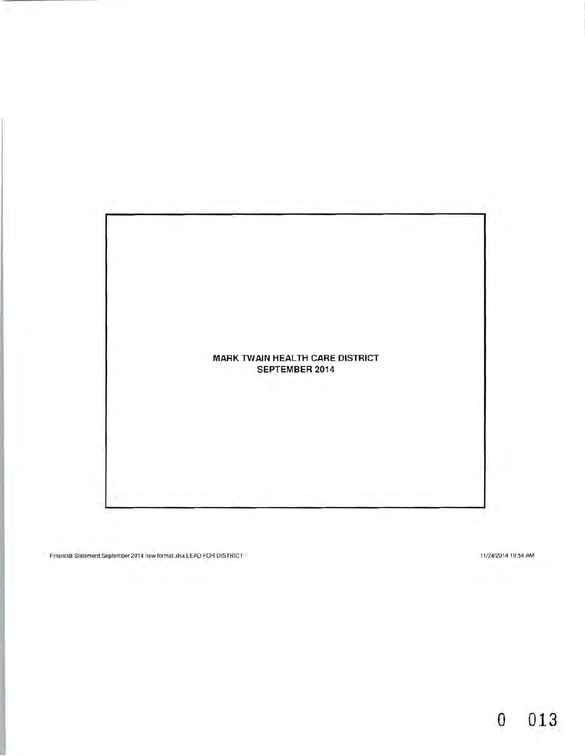

Financial Statement September 2014 new formal.xtsx LEAD FOR DISTRICT 11/24/2014 10:54 AM

**o 013**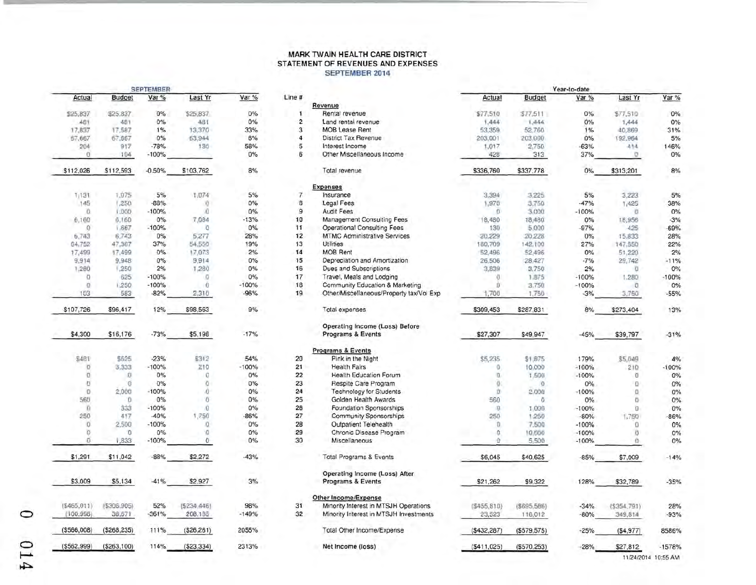### **MARK TW AIN HEALTH CARE DISTRICT STATEMENT OF REVENUES AND EXPENSES SEPTEMBER 2014**

|                |                                    | SEPTEMBER |                                       |                     |
|----------------|------------------------------------|-----------|---------------------------------------|---------------------|
| Var%           | Last Yr                            | Var%      | <b>Budget</b>                         | Actual              |
| $0\%$          | \$25,837                           | 0%        | \$25,837                              | \$25,837            |
| 0%             | -481                               | 0%        | 481                                   | 481                 |
| 33%            | 13,370                             | 1%        | 17,587                                | 17,837              |
| 6%             | 63,944                             | 0%        | 67,667                                | 67,667              |
| 58%            | $130 -$                            | $-78%$    | 917                                   | 204                 |
| 0%             |                                    | $-100%$   | 104                                   | $\sigma$            |
| 8%             | \$103,762                          | $-0.50%$  | \$112,593                             | \$112,026           |
| 5%             | 1,074                              | 5%        | 1.075                                 | 1131                |
| 0%             | 0.01                               | $-88%$    | 1,250                                 | 145                 |
| 0%             | <b>O</b>                           | $-100%$   | 1,000                                 | 0.                  |
| $-13%$         | 7,084                              | 0%        | 6,160                                 | 6,160               |
| 0%             | $\overline{Q}$                     | $-100%$   | 1.667                                 | $\Omega$            |
| 28%            | 5,277                              | 0%        | 6,743                                 | 6,743               |
| 19%            | 54.550                             | 37%       | 47,367                                | 64,752              |
| 2%             | 17,073                             | 0%        | 17,499                                | 17,499              |
| $0\%$          | 9,914                              | 0%        | 9.948                                 | 9,914               |
| 0%             | 1,280                              | 2%        | 1,250                                 | 1,280               |
| 0%             | - 0                                | $-100%$   | 625                                   | o                   |
| $-100%$        | $\overline{0}$                     | $-100%$   | 1,250                                 | $\Omega$            |
| $-96%$         | 2,310                              | $-82%$    | 583                                   | 103                 |
| 9%             | 12% \$98,563                       |           | \$96,417                              | \$107,726           |
| $-17%$         | \$5,198                            | $-73%$    | \$16,176                              | \$4,300             |
| 54%            | \$312                              | $-23%$    | \$625                                 | 5481                |
| $-100%$        | 210                                | $-100%$   | 3,333                                 | $\sqrt{0}$          |
| 0%             | $\circ$                            | 0%        | $\overline{0}$                        | o                   |
| 0%             | $\circ$                            | 0%        | `Ő                                    | 1U)                 |
| 0%             | $\sqrt{0}$                         | $-100%$   | 2,000                                 | $\theta$            |
| 0%             | $^{\circ}$                         | 0%        | $-0$                                  | 560                 |
| 0%             | $\overline{0}$                     | $-100%$   | 333                                   | $\overline{\Omega}$ |
| $-86%$         | 1,750                              | $-40%$    | 417                                   | 250                 |
| 0%             | o                                  | $-100%$   | 2,500                                 | Đ                   |
| $0\%$          | <b>D</b>                           | 0%        | O                                     | ö                   |
| 0%             | o                                  | $-100%$   | 1,833                                 | б                   |
| $-43%$         | \$2,272                            | $-88%$    | \$11,042                              | \$1,291             |
| 3%             | $-41\%$ \$2,927                    |           | \$5,134                               | \$3,009             |
| 98%<br>$-149%$ | 52% (5234,446)<br>$-361\%$ 208.185 |           | $( $465.011)$ $( $306.905)$<br>38,671 | (100.998)           |
| 2055%          | 111% (\$26,261)                    |           | $(\$268,235)$                         | (\$566,008)         |
| 2313%          | 114% (\$23.334)                    |           | $(S562.999)$ $(S263.100)$             |                     |

|             |               | <b>SEPTEMBER</b> |                |         |                |                                                               |               |               | Year-to-date |                                                                                                                                                                                                                                                                                                                                                                                      |                     |
|-------------|---------------|------------------|----------------|---------|----------------|---------------------------------------------------------------|---------------|---------------|--------------|--------------------------------------------------------------------------------------------------------------------------------------------------------------------------------------------------------------------------------------------------------------------------------------------------------------------------------------------------------------------------------------|---------------------|
| Actual      | <b>Budget</b> | Var %            | Last Yr        | Var %   | Line #         |                                                               | Actual        | <b>Budget</b> | Var %        | Last Yr                                                                                                                                                                                                                                                                                                                                                                              | Var %               |
|             |               |                  |                |         |                | Revenue                                                       |               |               |              |                                                                                                                                                                                                                                                                                                                                                                                      |                     |
| \$25,837    | \$25,837      | 0%               | \$25,837       | $0\%$   | 1              | Rental revenue                                                | \$77,510      | \$77.511      | 0%           | \$77,510                                                                                                                                                                                                                                                                                                                                                                             | 0%                  |
| 481         | 481           | 0%               | 481            | 0%      | $\overline{c}$ | Land rental revenue                                           | 1,444         | 1,444         | $0\%$        | 1,444                                                                                                                                                                                                                                                                                                                                                                                | 0%                  |
| 17,837      | 17,587        | 1%               | 13,370         | 33%     | 3              | <b>MOB Lease Rent</b>                                         | 53,359        | 52,760        | 1%           | 40,869                                                                                                                                                                                                                                                                                                                                                                               | 31%                 |
| 67,667      | 67,667        | 0%               | 63,944         | 6%      | 4              | District Tax Revenue                                          | 203,001       | 203,000       | 0%           | 192,964                                                                                                                                                                                                                                                                                                                                                                              | 5%                  |
| 204         | 917           | $-78%$           | 130            | 58%     | 5              | Interest Income                                               | 1,017         | 2,750         | $-63%$       | 414                                                                                                                                                                                                                                                                                                                                                                                  | 146%                |
| ō.          | 104           | $-100%$          |                | 0%      | 6              | Other Miscellaneous Income                                    | 428           | 313           | 37%          | O                                                                                                                                                                                                                                                                                                                                                                                    | 0%                  |
| \$112,026   | \$112,593     | $-0.50%$         | \$103,762      | 8%      |                | Total revenue                                                 | \$336,760     | \$337,778     | 0%           | \$313,201                                                                                                                                                                                                                                                                                                                                                                            | 8%                  |
|             |               |                  |                |         |                | <b>Expenses</b>                                               |               |               |              |                                                                                                                                                                                                                                                                                                                                                                                      |                     |
| 1811        | 1.075         | 5%               | 1,074          | 5%      | $\overline{7}$ | Insurance                                                     | 3,394         | 3,225         | 5%           | 3.223                                                                                                                                                                                                                                                                                                                                                                                | 5%                  |
| 145         | 1,250         | $-88%$           | Y)             | 0%      | 8              | Legal Fees                                                    | 1,970         | 3,750         | $-47%$       | 1,425                                                                                                                                                                                                                                                                                                                                                                                | 38%                 |
| Ò.          | 1,000         | $-100%$          | $\alpha$       | 0%      | $\mathsf g$    | <b>Audit Fees</b>                                             | $\sigma$      | 3,000         | $-100%$      | $\overline{0}$                                                                                                                                                                                                                                                                                                                                                                       | 0%                  |
| 6,160       | 6,160         | 0%               | 7,084          | $-13%$  | 10             | Management Consulting Fees                                    | 18,480        | 18,480        | 0%           | 18,956                                                                                                                                                                                                                                                                                                                                                                               | $-3%$               |
| 0           | 1.667         | $-100%$          | $\overline{Q}$ | 0%      | 11             | Operational Consulting Fees                                   | 130           | 5,000         | $-97%$       | 425                                                                                                                                                                                                                                                                                                                                                                                  | $-69%$              |
| 6,743       | 6,743         | 0%               | 5,277          | 28%     | 12             | <b>MTMC Administrative Services</b>                           | 20,229        | 20.228        | $0\%$        | 15.833                                                                                                                                                                                                                                                                                                                                                                               | 28%                 |
| 64,752      | 47,367        | 37%              | 54,550         | 19%     | 13             | Utilities                                                     | 180,709       | 142,100       | 27%          | 147,550                                                                                                                                                                                                                                                                                                                                                                              | 22%                 |
| 17,499      | 17,499        | 0%               | 17,073         | 2%      | 14             | <b>MOB Rent</b>                                               | 52,496        | 52,496        | 0%           | 51,220                                                                                                                                                                                                                                                                                                                                                                               | 2%                  |
| 9,914       | 9,948         | 0%               | 9,914          | $0\%$   | 15             | Depreciation and Amortization                                 | 26,506        | 28,427        | $-7%$        | 29,742                                                                                                                                                                                                                                                                                                                                                                               | $-11%$              |
| 1,280       | 1,250         | 2%               | 1,280          | 0%      | 16             | Dues and Subscriptions                                        | 3,839         | 3,750         | 2%           | <b>D</b>                                                                                                                                                                                                                                                                                                                                                                             | 0%                  |
| o           | 625           | $-100%$          | o              | 0%      | 17             | Travel, Meals and Lodging                                     | Ü             | 1.875         | $-100%$      | 1,280                                                                                                                                                                                                                                                                                                                                                                                | $-100%$             |
| o.          | 1,250         | $-100%$          | 0              | $-100%$ | 18             | Community Education & Marketing                               | Ŭ             | 3,750         | $-100%$      | $\overline{0}$                                                                                                                                                                                                                                                                                                                                                                       | 0%                  |
|             | 583           | $-82%$           |                | $-96%$  | 19             | Other/Miscellaneous/Property tax/Vol Exp                      |               |               |              |                                                                                                                                                                                                                                                                                                                                                                                      |                     |
| 103         |               |                  | 2,310          |         |                |                                                               | 1,700         | 1,750         | $-3%$        | 3,750                                                                                                                                                                                                                                                                                                                                                                                | $-55%$              |
| \$107,726   | \$96,417      | 12%              | \$98,563       | 9%      |                | Total expenses                                                | \$309,453     | \$287,831     | 8%           | \$273,404                                                                                                                                                                                                                                                                                                                                                                            | 13%                 |
|             |               |                  |                |         |                | Operating Income (Loss) Before                                |               |               |              |                                                                                                                                                                                                                                                                                                                                                                                      |                     |
| \$4,300     | \$16,176      | $-73%$           | \$5,198        | $-17%$  |                | Programs & Events                                             | \$27,307      | \$49,947      | $-45%$       | \$39,797                                                                                                                                                                                                                                                                                                                                                                             | $-31%$              |
|             |               |                  |                |         |                | <b>Programs &amp; Events</b>                                  |               |               |              |                                                                                                                                                                                                                                                                                                                                                                                      |                     |
| \$481       | \$625         | $-23%$           | \$312          | 54%     | 20             | Pink in the Night                                             | \$5,235       | \$1,875       | 179%         | \$5,049                                                                                                                                                                                                                                                                                                                                                                              | 4%                  |
| $\circ$     | 3,333         | $-100%$          | 210            | $-100%$ | 21             | <b>Health Fairs</b>                                           | O.            | 10,000        | $-100%$      | 210                                                                                                                                                                                                                                                                                                                                                                                  | $-100%$             |
| o.          | $\Omega$      | 0%               | 0              | 0%      | 22             | <b>Health Education Forum</b>                                 | ū.            | 1,500         | $-100%$      | Ū                                                                                                                                                                                                                                                                                                                                                                                    | 0%                  |
| U.          | `Ő            | 0%               | O              | 0%      | 23             | Respite Care Program                                          | O.            | $\circ$       | 0%           | o                                                                                                                                                                                                                                                                                                                                                                                    | 0%                  |
| o           | 2,000         | $-100%$          | Ō.             | 0%      | 24             | <b>Technology for Students</b>                                | Ù             | 2,000         | $-100%$      | $\mathbf{D}% =\mathbf{D}^{T}\mathbf{D}^{T}\mathbf{D}^{T}\mathbf{D}^{T}\mathbf{D}^{T} \mathbf{D}^{T} \mathbf{D}^{T} \mathbf{D}^{T} \mathbf{D}^{T} \mathbf{D}^{T} \mathbf{D}^{T} \mathbf{D}^{T} \mathbf{D}^{T} \mathbf{D}^{T} \mathbf{D}^{T} \mathbf{D}^{T} \mathbf{D}^{T} \mathbf{D}^{T} \mathbf{D}^{T} \mathbf{D}^{T} \mathbf{D}^{T} \mathbf{D}^{T} \mathbf{D}^{T} \mathbf{D}^{T} \$ | 0%                  |
| 560         | 0.            | 0%               | O              | 0%      | 25             | Golden Health Awards                                          | 560           | $\alpha$      | 0%           | $\ddot{\Omega}$                                                                                                                                                                                                                                                                                                                                                                      | 0%                  |
| n           | 333           | $-100%$          | Ö.             | 0%      | 26             | Foundation Sponsorships                                       | $\sigma$      | 1,000         | $-100%$      | D.                                                                                                                                                                                                                                                                                                                                                                                   | 0%                  |
| 250         | 417           | $-40%$           | 1,750          | $-86%$  | 27             | Community Sponsorships                                        | 250           | 1,250         | $-80%$       | 1,750                                                                                                                                                                                                                                                                                                                                                                                | $-86%$              |
| 0.          | 2,500         | $-100%$          | O.             | 0%      | 28             | <b>Outpatient Telehealth</b>                                  | Ü.            | 7,500         | $-100%$      | o                                                                                                                                                                                                                                                                                                                                                                                    | 0%                  |
| o           | O             | 0%               | ø              | $0\%$   | 29             | Chronic Disease Program                                       | O.            | 10,000        | $-100%$      | 0                                                                                                                                                                                                                                                                                                                                                                                    | 0%                  |
| σ           | 1,833         | $-100%$          | o              | 0%      | 30             | Miscellaneous                                                 | o             | 5,500         | $-100%$      | o.                                                                                                                                                                                                                                                                                                                                                                                   | 0%                  |
| \$1,291     | \$11,042      | $-88%$           | \$2,272        | $-43%$  |                | <b>Total Programs &amp; Events</b>                            | \$6,045       | \$40,625      | $-85%$       | \$7,009                                                                                                                                                                                                                                                                                                                                                                              | $-14%$              |
|             |               |                  |                |         |                | Operating Income (Loss) After                                 |               |               |              |                                                                                                                                                                                                                                                                                                                                                                                      |                     |
| \$3,009     | \$5,134       | $-41%$           | \$2,927        | 3%      |                | Programs & Events                                             | \$21,262      | \$9,322       | 128%         | \$32,789                                                                                                                                                                                                                                                                                                                                                                             | $-35%$              |
|             |               |                  |                |         |                |                                                               |               |               |              |                                                                                                                                                                                                                                                                                                                                                                                      |                     |
| \$465,011)  | (5306.905)    | 52%              | (5234.446)     | 98%     | 31             | Other Income/Expense<br>Minority Interest in MTSJH Operations | ( \$455, 810) | ( \$695, 586) | $-34%$       | (§354,791)                                                                                                                                                                                                                                                                                                                                                                           | 28%                 |
| (100.998)   | 38,671        | 361%             | 208.185        | $-149%$ | 32             | Minority Interest in MTSJH Investments                        | 23,523        |               | $-80%$       | 349,814                                                                                                                                                                                                                                                                                                                                                                              |                     |
|             |               |                  |                |         |                |                                                               |               | 116,012       |              |                                                                                                                                                                                                                                                                                                                                                                                      | $-93%$              |
| (\$566,008) | (\$268,235)   | 111%             | ( \$26, 261)   | 2055%   |                | Total Other Income/Expense                                    | (\$432,287)   | ( \$579, 575) | $-25%$       | ( \$4, 977)                                                                                                                                                                                                                                                                                                                                                                          | 8586%               |
| (\$562,999) | (\$263,100)   | 114%             | ( \$23, 334)   | 2313%   |                | Net Income (loss)                                             | ( \$411,025)  | ( \$570, 253) | $-28%$       | \$27,812                                                                                                                                                                                                                                                                                                                                                                             | $-1578%$            |
|             |               |                  |                |         |                |                                                               |               |               |              |                                                                                                                                                                                                                                                                                                                                                                                      | 11/24/2014 10:55 AM |

o o  $\overline{\phantom{0}}$ 

~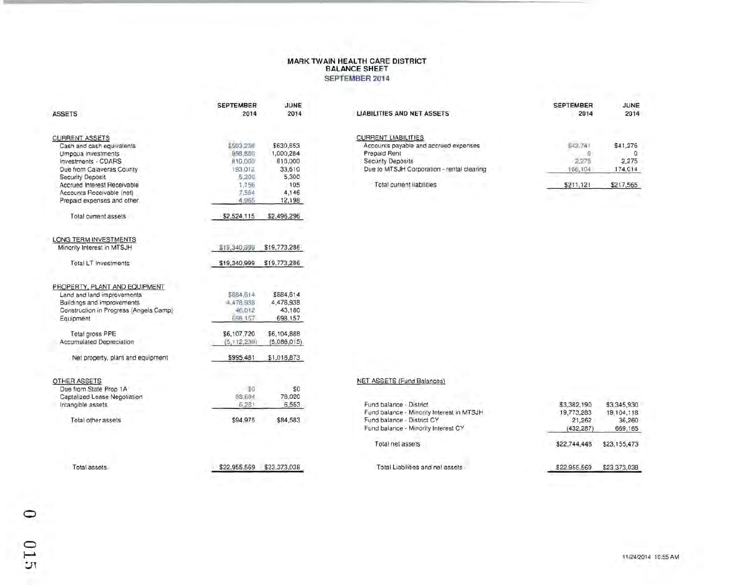### **MARK TWAIN HEALTH CARE DISTRICT BALANCE SHEET SEPTEMBER 2014**

| <b>ASSETS</b>                                                                                                                                    | <b>SEPTEMBER</b><br>2014                    | JUNE<br>2014                                | <b>LIABILITIES AND NET ASSETS</b>                                                                                                                      | <b>SEPTEMBER</b><br>2014                | JUNE<br>2014                             |
|--------------------------------------------------------------------------------------------------------------------------------------------------|---------------------------------------------|---------------------------------------------|--------------------------------------------------------------------------------------------------------------------------------------------------------|-----------------------------------------|------------------------------------------|
| <b>CURRENT ASSETS</b><br>Cash and cash equivalents<br>Umpqua Investments<br>Investments - CDARS<br>Due from Calaveras County                     | \$503.236<br>998;880<br>810,000<br>193.012  | \$630,653<br>1,000,284<br>810,000<br>33,610 | <b>CURRENT LIABILITIES</b><br>Accounts payable and accrued expenses<br>Prepaid Rent<br>Security Deposits<br>Due to MTSJH Corporation - rental clearing | S42,741<br>$\theta$<br>2,275<br>166,104 | \$41,276<br>$\Omega$<br>2,275<br>174,014 |
| Security Deposit<br>Accrued Interest Receivable<br>Accounts Receivable (net)<br>Prepaid expenses and other                                       | 5,300<br>1,156<br>7,564<br>4,965            | 5,300<br>105<br>4,146<br>12,198             | Total current liabilities                                                                                                                              | \$211,121                               | \$217,565                                |
| Total current assets                                                                                                                             | \$2,524,115                                 | \$2,496,296                                 |                                                                                                                                                        |                                         |                                          |
| LONG TERM INVESTMENTS<br>Minority Interest in MTSJH<br>Total LT Investments                                                                      | \$19,340,099<br>\$19,340,999                | \$19,773,286<br>\$19,773,286                |                                                                                                                                                        |                                         |                                          |
| PROPERTY, PLANT AND EQUIPMENT<br>Land and land improvements<br>Buildings and improvements<br>Construction in Progress (Angels Camp)<br>Equipment | \$884,614<br>4.478,939<br>46.012<br>698.157 | \$884,614<br>4,478,938<br>43,180<br>698.157 |                                                                                                                                                        |                                         |                                          |
| Total gross PPE<br>Accumulated Depreciation                                                                                                      | \$6,107,720<br>(5,112,239)                  | \$6,104,888<br>(5,086,015)                  |                                                                                                                                                        |                                         |                                          |
| Net property, plant and equipment                                                                                                                | \$995,481                                   | \$1,018,873                                 |                                                                                                                                                        |                                         |                                          |
| OTHER ASSETS<br>Due from State Prop 1A<br>Captalized Lease Negotiation<br>Intangible assets                                                      | 30<br>88,694<br>6,281                       | \$0<br>78,020<br>6,563                      | NET ASSETS (Fund Balances)<br>Fund balance - District                                                                                                  | \$3,382,190                             | \$3,345,930                              |
| Total other assets                                                                                                                               | \$94,975                                    | \$84,583                                    | Fund balance - Minority Interest in MTSJH<br>Fund balance - District CY<br>Fund balance - Minority Interest CY                                         | 19,773,283<br>21,262<br>(432, 287)      | 19,104,118<br>36,260<br>669,165          |
|                                                                                                                                                  |                                             |                                             | Total net assets                                                                                                                                       | \$22,744,448                            | \$23,155,473                             |
| Total assets                                                                                                                                     | \$22,955,569                                | \$23,373,038                                | Total Liabilities and net assets                                                                                                                       | \$22,955.569                            | \$23.373,038                             |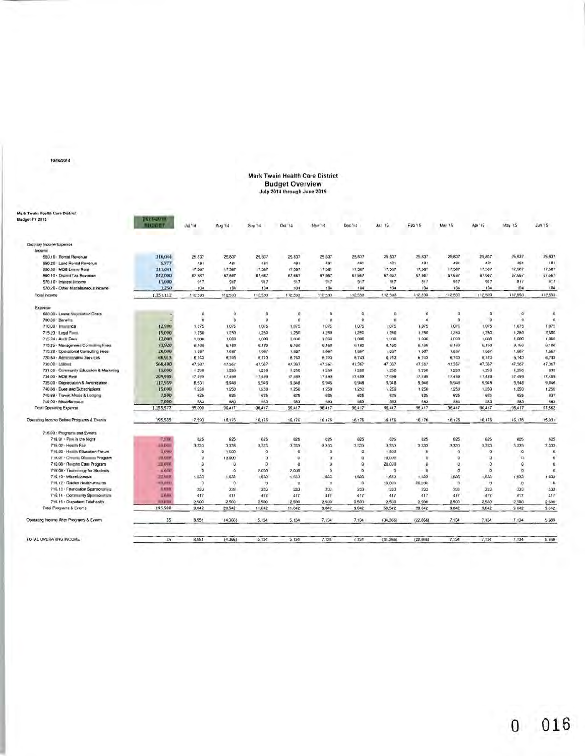#### 10/16/2014

# Mark Twain Health Care District<br>Budget Overview<br>July 2014 through June 2015

| Mark Twain Health Care District           |                         |              |          |                     |         |                    |               |                    |                       |                            |          |              |             |
|-------------------------------------------|-------------------------|--------------|----------|---------------------|---------|--------------------|---------------|--------------------|-----------------------|----------------------------|----------|--------------|-------------|
| Budget FY 2015                            | <b>LOADSON</b>          |              |          |                     |         |                    |               |                    |                       |                            |          |              |             |
|                                           | <b><i>MADDET</i></b>    | Jul.'i4      | Aug '14  | Sep <sup>14</sup>   | Oct'14  | Nov <sup>-14</sup> | Doc'14        | Jan '15            | Feb '15               | <b>Mar '15</b>             | Apr '15  | May 15       | Jun'19      |
| <b>Ordinary Income/Expense</b>            |                         |              |          |                     |         |                    |               |                    |                       |                            |          |              |             |
| Income                                    |                         |              |          |                     |         |                    |               |                    |                       |                            |          |              |             |
| 550.10 - Rental Revenue                   | 310,044                 | 25,637       | 25,837   | 25,837              | 25.837  | 25.837             | 25,637        | 25,637             | 25,837                | 25,637                     | 25,837   | 25,837       | 25 837      |
| 550.20 Land Rontal Revenue                | 5.777                   | 481          | 481      | 481                 | 481     | 481                | 481           | 481                | 481                   | 481                        | 481      | 481          | 481         |
| 550.30 MOB Leanur Rent                    | 211,041                 | 17,567       | 17,587   | 17,587              | 17,587  | 17,587             | 17,587        | 17,587             | 17,587                | 17,587                     | 17,587   | 17.567       | 17,587      |
| 560.10 - District Tax Revenue             | 812000                  | 67.667       | 67,667   | 67.667              | 67.667  | 67,667             | 67.667        | 67,667             | 67,667                | 67,667                     | 67,667   | 87,667       | 67,667      |
| 570.10 - Interest I/Icome                 | 11,000                  | 917          | 917      | 917                 | 917     | 917                | 917           | 917                | 917                   | 917                        | 917      | 917          | 917         |
| 570.20 - Other Miscellaneous Income       | 1,250                   | 104          | 104      | 104                 | 104     | 104                | 104           | 104                | 104                   | 104                        | 104      | 104          | 104         |
|                                           |                         |              |          |                     |         |                    |               |                    |                       |                            |          |              |             |
| Total income                              | 1.351.112               | 112,593      | 112,593  | 112,593             | 112,593 | 112,593            | 112,593       | 112,593            | 112,593               | 112,593                    | 112,593  | 112,503      | 112,593     |
| Expense                                   |                         |              |          |                     |         |                    |               |                    |                       |                            |          |              |             |
| 600.00 - Lease Negranton Costs            |                         | D            | $\alpha$ | o                   | g.      | $\overline{0}$     | $\circ$       | o                  | $\mathbf{0}$          | $\mathbf 0$                | G        | $\mathbf{0}$ | $\alpha$    |
| 700.00 - Banelina                         |                         | $\Omega$     | $\alpha$ | $\Omega$            | o       | $\Omega$           | $\mathbf 0$   | $\overline{D}$     | $\overline{0}$        | $\Omega$                   | $\Omega$ | $\circ$      | D.          |
| 710.00 kmunimce                           | 12,900                  | 1.075        | 1.075    | 1.075               | 1,075.  | 1:075              | 1,075         | 1.075              | 1,075                 | $1.0 - 1$                  | 1.075    | 1,075        | 1.075       |
| 715 23 Legal Firms                        | 15,000                  | 1,250        | 1,250    | 1,250               | 1,250   | 1,250              | 1,250         | 1,250              | 1,250                 | 1,250                      | 1,250    | 1,250        | 2,500       |
| 715.24 . Autor Fees                       | 12,000                  | 1,000        | 1,000    | 1,000               | 1,000   | 1,000              | 1,000         | 1,000              | 1.000                 | 1,000                      | 1,000    | 1.000        | 1,000       |
| 715.25 Management Contact of Lans         | 73,920                  | 6.160        | 6,160    | 6,160               | 6.160   | 6.160              | 6.160         | 6.160              | 5.160                 | 6 160                      | 6,160    | 8.160        | 6.180       |
| 715.26 - Operational Consulting Fees      | 20,000                  | 1,687        | 1,667    | 1,687               | 1,657   | 1,567              | 1,657         | 1.667              | 1.687                 | 1,667                      | 1,667    | 1,667        | 1,667       |
| 720.64 - Administrative Services          | 60.913                  | 6,740        | 6,743    | 6,743               | 6.743   | 6,743              | 6.743         | 6.743              | 6.743                 | 6,743                      | 6,743    | 6,743        | 6,743       |
| 730.00 - Loanwa                           | 568,400                 | 47,387       | 47.367   | 47.367              | 47.367  | 47,367             | 47,367        | 47.367             | 47.367                | 47,367                     | 47,367   | 47,367       | 47,367      |
| 731.00 - Community Education & Marketing  | 15,000                  | $+290$       | 1,250    | 1,250               | 1.250   | 1,250              | 1 250         | 1,250              | 1,250                 | 1,250                      | 1,250    | 1,250        | 833         |
| 734.00 - MOB Rwni                         | 209,985                 | 17,499       | 17,499   | 17,499              | 17.499  | 17,499             | 17,499        | 17,499             | 17,499                | 17,499                     | 17,493   | 17.499.      | 17,499      |
| 735.00 - Depreciation & Ainonization      | 117,959                 | 8,531        | 9,548    | 9.946               | 9.548   | 9,946              | 9.948         | 9,948              | 9,946                 | 9,948                      | 9,948    | 9,948        | 9.946       |
| 740.86 Dues and Subscriptions             | 15.000                  | 1,250        | 1,250    | 1,250               | 1.250   | 1,250              | 1,250         | 1.250              | 1,250                 | 1,250                      | 1,250    | 1.250        | 1,250       |
| 740.68 - Travel, Moals & Lodging          | 7,500                   | 625          | 625      | 625                 | 625     | 625                | 625           | 625                | 625                   | 625                        | 625      | 625          | 837         |
| 740.00 - Miscollarmoun                    | 7,000                   | 583          | 583      | 563                 | 583     | 583                | 583           | 583                | 583                   | 583                        | 583      | 583          | 683         |
| <b>Total Operating Expense</b>            | 1,155,577               | 95,000       | 96,417   | 96,417              | 96,417  | 96,417             | 96,417        | 95,417             | 96,417                | 96.417                     | 96,417   | 96,417       | 97,562      |
| Operating Income Belore Programs & Events | 195,535                 | 17,593       | 16,176   | 16,176              | 16,176  | 16,176             | 16,176        | 16.176             | 10.176                | 16.175                     | 16,176   | 16,176       | 15,031      |
|                                           |                         |              |          |                     |         |                    |               |                    |                       |                            |          |              |             |
| 716.00 - Programs and Events              |                         |              |          |                     |         |                    |               |                    |                       |                            |          |              |             |
| 718.01 - Fink in the Night                | 7,500                   | 625          | 625      | 625                 | 625     | 625                | 625           | 625                | 625                   | 625                        | 625      | 625          | 625         |
| 716.02 Health Fair                        | 10,008                  | 3,333        | 3,333    | 3,333               | 3,333   | 3,333              | CE2, E        | 3,333              | 3,333<br>$\mathbf{D}$ | 3,333                      | 3,333    | 3,333        | 3,333<br>n. |
| 716.03 - Health Education Forum           | 1,000<br><b>PIR DOP</b> | $\circ$<br>D | 1500     | $\mathbf{a}$        | O.      | ø                  | $\Omega$      | 1,500              | D.                    | $\Omega$<br>$\overline{0}$ | o        | a.<br>D.     | o           |
| 715.07 - Chronic Disease Program          |                         | D            | 10.000   | $\overline{D}$<br>D | o       | o.                 | ō<br>$\Omega$ | 10,000             |                       |                            | n        |              |             |
| 716.06 - Rengite Care Program             | <b>THE USER</b>         |              | D.       |                     | ۰       | $\overline{Q}$     |               | 20,000<br>$\Omega$ | а                     | ū<br>$\sigma$              | a        | $\Omega$     | a           |
| 716.09 - Technology for Students          | E/GUV                   | D            | o        | 2,000               | 2,000   | o                  | $\mathbf{0}$  |                    | $\overline{0}$        |                            | a        | D.           | 0.          |
| 716.10 Miscellineous                      | <b>ZZ GIBS</b>          | 1.833        | 1,633    | 1,633               | 1.833   | 1,833              | 1,833         | 1,633              | 1,833                 | 1,833                      | 1,833    | 1,833        | 1.033       |
| 716.12 Golden Health Awards               | <b>RIX (MH)</b>         | Ð            | $\alpha$ | $\Omega$            | $\circ$ | $\Omega$           | $\circ$       | 10,000             | 30,000                | $\Omega$                   | ø        | $\Omega$     | D.          |
| 716.13 - Feuridation Sponsorshires        | A.contr                 | 333          | 333      | 333                 | 333     | 333                | 333           | 333                | 333                   | 533                        | 333      | 333          | 333         |
| 716.14 - Community Spormoration           | <b>EXAMS</b>            | 417          | 417      | 417                 | 417     | 417                | 417           | 417                | 417                   | 417                        | 417      | A17          | 417         |
| 716.15 · Outpatient Telehealth            | 10,000                  | 2500         | 2,500    | 2500                | 2.500   | 2,500              | 2.500         | 2,500              | 2,500                 | 2.500                      | 2,500    | 2,500        | 2:500       |
| Total Programs & Events                   | 195,500                 | 9.042        | 20,542   | 11,042              | 11.042  | 9,042              | 9.042         | 50,542             | 39.042                | 9.042                      | 9,042    | 9 042        | 9,042       |
| Operating Income Alter Programs & Evenny  | 35                      | 8.551        | (4.366)  | 5.134               | 5.134   | 7.134              | 7.134         | (34, 366)          | (22.866)              | 7.134                      | 7.134    | 7.134        | 5,989       |
|                                           |                         |              |          |                     |         |                    |               |                    |                       |                            |          |              |             |
| TOTAL OPERATING INCOME                    | 35                      | 8,551        | (4.366)  | 5,134               | 5.134   | 7.134              | 7.134         | (34, 366)          | (22, B66)             | 7,134                      | 7,134    | 7,134        | 5,969       |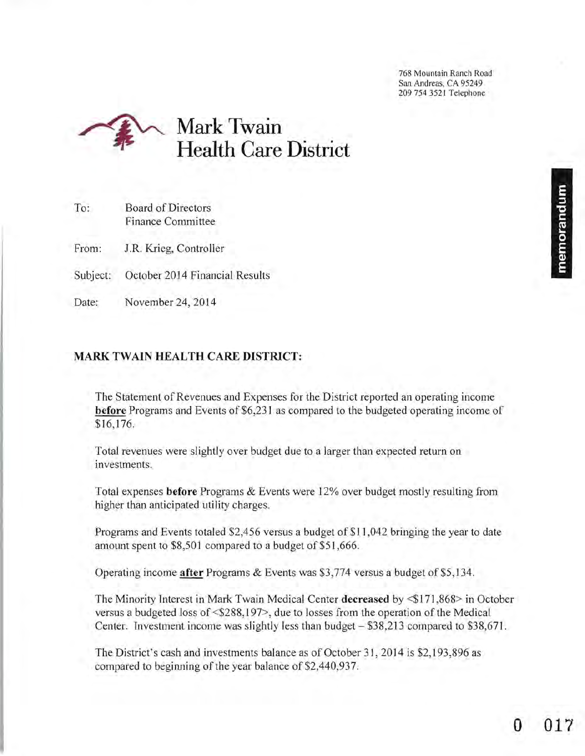768 Mountain Ranch Road San Andreas, CA 95249 209 754 3521 Telephone



| To: | <b>Board of Directors</b> |
|-----|---------------------------|
|     | Finance Committee         |

From: *l.R.* Krieg, Controller

- Subject: October 2014 Financial Results
- Date: November 24, 2014

## **MARK TWAIN HEALTH CARE DISTRICT:**

The Statement of Revenues and Expenses for the District reported an operating income **before** Programs and Events of \$6,23 1 as compared to the budgeted operating income of \$16,176.

Total revenues were slightly over budget due to a larger than expected return on investments.

Total expenses **before** Programs & Events were 12% over budget mostly resulting from higher than anticipated utility charges.

Programs and Events totaled \$2,456 versus a budget of \$11 ,042 bringing the year to date amount spent to \$8,501 compared to a budget of \$51,666.

Operating income **after** Programs & Events was \$3,774 versus a budget of \$5, 134.

The Minority Interest in Mark Twain Medical Center **decreased** by <\$171,868> in October versus a budgeted loss of <\$288, 197>, due to losses from the operation of the Medical Center. Investment income was slightly less than budget - \$38,213 compared to \$38,671.

The District's cash and investments balance as of October 31, 2014 is \$2,193,896 as compared to beginning of the year balance of \$2,440,937.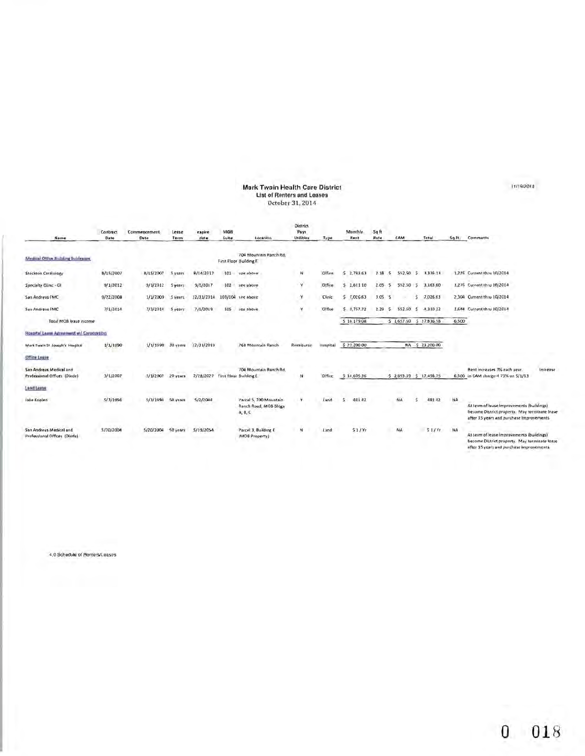# Mark Twain Health Care District<br>List of Renters and Leases<br>October 31, 2014

| Name                                                    | Contract<br>Date | Commencement<br>Date | Lease<br>Term      | expire<br>date | MOB<br>Suite | Location                                                   | District<br>Pays<br>Utilities | Type          | Munthly<br>Rent              | 5qft<br>Rate   | CAM       |    | Total                    | Sq.Ft. | Comments                                                                                                                                |
|---------------------------------------------------------|------------------|----------------------|--------------------|----------------|--------------|------------------------------------------------------------|-------------------------------|---------------|------------------------------|----------------|-----------|----|--------------------------|--------|-----------------------------------------------------------------------------------------------------------------------------------------|
| Medical Office Building Sublement                       |                  |                      |                    |                |              | 704 Mountain Ranch Rd.<br>First Floor Building E           |                               |               |                              |                |           |    |                          |        |                                                                                                                                         |
| Stockton Cardiology                                     | 8/15/2007        | 8/15/2007            | 5 years            | 8/14/2017      | 101          | see above                                                  | м                             | Office        | 2,783.63<br>s                | 7.18<br>5      | 552.50    | з  | 3,336.13                 |        | 1,276 Current thru 10/2014                                                                                                              |
| Specialty Glinic - Gl                                   | 9/1/2012         | 9/1/2012             | <b>Syears</b>      | 9/1/2017       | 102          | see above                                                  | ¥                             | <b>Office</b> | 2,611 10                     | 2.05<br>ß      | 552.50    | 5. | 3,163,60                 |        | 1,276 Current thru 10/2014                                                                                                              |
| San Andreas FMC                                         | 9/22/2008        | 1/1/2009             | 5 years            | 12/31/2014     | 103/104      | see above                                                  |                               | Clinic        | 7,026.63<br>s                | 3.05<br>-5     |           | s  | 7,026.63                 |        | 2,304 Current thru 10/2014                                                                                                              |
| <b>San Andreas FMC</b>                                  | 7/1/2014         | 7/1/2014             | 5 years            | 7/1/2019       | 105          | see above                                                  |                               | Office        | $5 - 1,757.72$               | 2.29<br>$\sim$ | 552.50    | s. | 4,310 22                 |        | 1,644 Current thru 10/2014                                                                                                              |
| Total MOB lease income                                  |                  |                      |                    |                |              |                                                            |                               |               | 516.179.08                   |                | 5.1657.50 |    | $5$ 17,836.58            | 6.500  |                                                                                                                                         |
| Hospital Lewis Agreement #/ Corporation                 |                  |                      |                    |                |              |                                                            |                               |               |                              |                |           |    |                          |        |                                                                                                                                         |
| Mark Twain St. Joseph's Hospital                        | 1/1/1990         | 1/1/1990             | 30 <sub>vers</sub> | 12/31/2019     |              | 768 Mountain Ranch                                         | Reimburse                     | Hospital      | \$ 23,200.00                 |                |           |    | NA 5 23,200.00           |        |                                                                                                                                         |
| Office Legge                                            |                  |                      |                    |                |              |                                                            |                               |               |                              |                |           |    |                          |        |                                                                                                                                         |
| San Andreas Medical and<br>Professional Offices (Diede) | 3/1/2007         | 3/1/2007             | 20 years           | 2/28/2027      |              | 704 Mountain Ranch Rd.<br>First Floor Building E.          | N                             | Office        | 5 14,605.36                  |                |           |    | \$ 2,893.39 \$ 17,498.75 |        | Rent increases 3% each year.<br>Increase<br>6,500 in CAM charge-4 73% on 5/1/13                                                         |
| Land Lease                                              |                  |                      |                    |                |              |                                                            |                               |               |                              |                |           |    |                          |        |                                                                                                                                         |
| Jake Koplen                                             | 5/3/1994         | 5/3/1999             | 50 year            | 5/2/2044       |              | Parcel 5, 700 Mountain<br>Ranch Road, MOB Bldgs<br>A, B, C | ۰Y۱                           | Land          | 481.42                       |                | NA.       |    | 481.42                   | NA     | At term of lease improvements (buildings)<br>become District property. May terminate lease<br>after 35 years and purchase improvements. |
| San Andreas Medical and<br>Professional Offices (Diede) | 5/20/2004        | 5/20/2004            | 50 years           | 5/19/2054      |              | Parcel 3, Building E.<br>(MOB Property)                    | w                             | Land          | 51/Nr<br><b>Bill Council</b> |                | NA        |    | 51/yr                    | NA     | At term of lease improvements (buildings)<br>become District property. May terminate lease<br>after 35 years and purchase improvements. |

4.0 Schedule of Renters/Leases

11/19/2014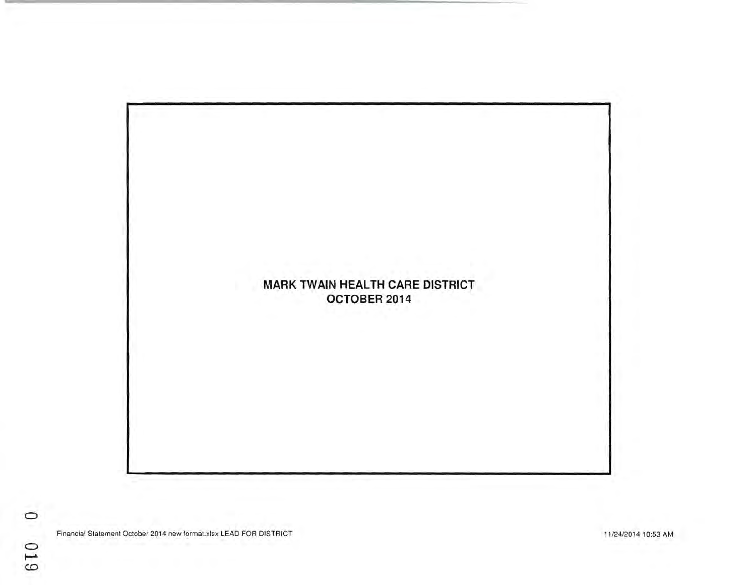

Financial Statement October 2014 new format.xlsx LEAD FOR DISTRICT

11/24/2014 10:53 AM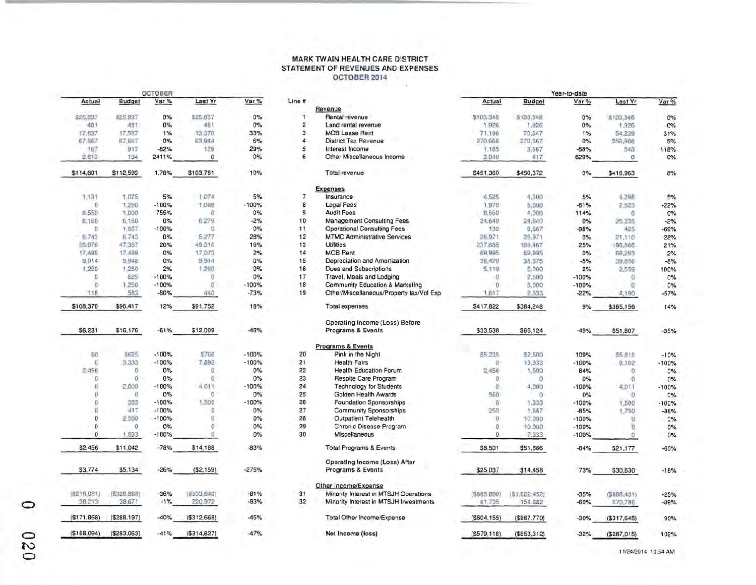#### MARK TW AIN HEALTH CARE DISTRICT STATEMENT OF REVENUES AND EXPENSES OCTOBER 2014  $\sim 10$

|                  |               | OCTOBER |                         |                         |
|------------------|---------------|---------|-------------------------|-------------------------|
| Var%             | Last Yr       | Var %   | <b>Budget</b>           | Actual                  |
| 0%               | \$25,837      | 0%      | \$25,837                | \$25,837                |
| $0\%$            | 481           | $0\%$   | 481                     | $-481$                  |
| 33%              | 13,370        | 1%      | 17,587                  | 17,837                  |
| 6%               | 63,944        | 0%      | 67,667                  | 67,667                  |
| 29%              | 129           | $-82%$  | 917                     | 167                     |
| 0%               | $\Omega$      | 2411%   | 104                     | 2.612                   |
| 10%              | \$103,761     | 1.78%   | \$112,593               | \$114,601               |
| 5%               | 1,074         | 5%      | 1.075                   | 1.131                   |
| $-100%$          | 7,098         | $-100%$ | 1,250                   | D                       |
| 0%               | $\Omega$      | 755%    | 1,000                   | 8,550                   |
| $-2\%$           | 6:279         | 0%      | 6,160                   | <b>E.160</b>            |
| 0%               | U             | $-100%$ | 1,667                   | $\Omega$                |
| 28%              | 5,277         | 0%      | 6,743                   | 0.743                   |
| 16%              | 49,316        | 20%     | 47,367                  | 56.976                  |
| 2%               | 17.073        | 0%      | 17,499                  | 17.499                  |
| 0%               | 9,914         | $0\%$   | 9,948                   | 9,914                   |
| 0%               | 1,280         | 2%      | 1.250                   | 1,280                   |
| 0%               | Ö             | $-100%$ | 625                     | Ð                       |
| $-100%$          | $\sigma$ .    | $-100%$ | 1,250                   | $\Omega$                |
| $-73%$           | $-440$        | $-80%$  | 583                     | T1B                     |
| 18%              | \$91,752      | 12%     | \$96,417                | \$108,370               |
| $-48%$           | \$12,009      | $-61%$  | \$16,176                | \$6,231                 |
| $-100%$          | \$766         | $-100%$ | \$625                   | SO.                     |
| $-100%$          | 7.892         | $-100%$ | 3.333                   | O.                      |
| 0%               | D             | $0\%$   | ū                       | 2.456                   |
| 0%               | ō             | 0%      | 0                       | $\circ$                 |
| $-100%$          | 1,011         | $-100%$ | 2,000                   | $\mathcal{D}$           |
| $0\%$            | Eï.           | 0%      | O                       | Ü                       |
| $-100%$          | 1,500         | $-100%$ | 333                     | o                       |
| 0%               | Ò.            | $-100%$ | 417                     | Ü                       |
| 0%               | ö             | $-100%$ | 2,500                   | $\overline{0}$          |
| 0%               | ö             | 0%      | $\Omega$                | 0                       |
| 0%               | σ.            | $-100%$ | 1.833                   | Ö                       |
| $-83%$           | \$14,168      | $-78%$  | \$11,042                | \$2,456                 |
| $-275%$          | (S2, 159)     | $-26%$  | \$5,134                 | \$3,774                 |
| $-61%$<br>$-83%$ | (5533, 640)   | $-36%$  | [\$210,081] (\$326,868) |                         |
|                  | 220.972       | $-1\%$  | 38,671                  | 38,213                  |
| $-45%$           | ( \$312, 668) | $-40%$  | (5288, 197)             | (\$171,868)             |
| $A7\%$           | (4314827)     | $-419/$ |                         | $(530.62)$ $(6283.063)$ |

|              |                   | <b>OCTOBER</b> |                     |           |                |                                          |               |               | Year-to-date       |               |         |
|--------------|-------------------|----------------|---------------------|-----------|----------------|------------------------------------------|---------------|---------------|--------------------|---------------|---------|
| Actual       | <b>Budget</b>     | Var%           | Last Yr             | Var%      | Line #         |                                          | Actual        | <b>Budget</b> | Var %              | Last Yr       | Var%    |
|              |                   |                |                     |           |                | Revenue                                  |               |               |                    |               |         |
| \$25,837     | \$25,837          | 0%             | \$25.837            | 0%        | 1              | Rental revenue                           | \$103.346     | \$103.348     | 0%                 | \$103,346     | $0\%$   |
| 481          | 481               | 0%             | 481                 | $0\%$     | $\overline{2}$ | Land rental revenue                      | 1,926         | 1,926         | 0%                 | 1.926         | 0%      |
| 17,837       | 17,587            | 1%             | 13,370              | 33%       | 3              | <b>MOB Lease Rent</b>                    | 71,196        | 70,347        | 1%                 | 54.239        | 31%     |
| 67,667       | 67,667            | 0%             | 63,944              | 6%        | 4              | District Tax Revenue                     | 270.668       | 270,667       | 0%                 | 256,908       | 5%      |
| 167          | 917               | $-82%$         | 129                 | 29%       | 5              | Interest Income                          | 1.185         | 3.667         | $-68%$             | 543           | 118%    |
| 2.612        | 104               | 2411%          | 0                   | 0%        | 6              | Other Miscellaneous Income               | 3,040         | 417           | 629%               | O             | 0%      |
| \$114,601    | \$112,593         | 1.78%          | \$103,761           | 10%       |                | Total revenue                            | \$451,360     | \$450,372     | 0%                 | \$416.963     | 8%      |
|              |                   |                |                     |           |                | <b>Expenses</b>                          |               |               |                    |               |         |
| 1.131        | 1,075             | 5%             | 1.074               | 5%        | $\overline{7}$ | Insurance                                | 4.525         | 4,300         | 5%                 | 4.29B         | 5%      |
| U.           | 1,250             | $-100%$        | 1,098               | $-100%$   | 8              | <b>Legal Fees</b>                        | 1,970         | 5,000         | $-61%$             | 2523          | $-22%$  |
| 8.550        | 1,000             | 755%           | Ω                   | 0%        | 9              | <b>Audit Fees</b>                        | 8,550         | 4,000         | 114%               | $\sigma$      | $0\%$   |
| <b>E.160</b> | 6,160             | 0%             | 6:279               | $-2%$     | 10             | <b>Management Consulting Fees</b>        | 24,640        |               | $0\%$              |               |         |
| D.           |                   | $-100%$        | U.                  | 0%        | 11             |                                          |               | 24,840        |                    | 25 235        | $-2%$   |
|              | 1,667             |                |                     |           |                | <b>Operational Consulting Fees</b>       | 130           | 6,667         | $-98%$             | 425           | $-69%$  |
| 0.743        | 6,743             | 0%             | 5,277               | 28%       | 12             | <b>MTMC Administrative Services</b>      | 26.971        | 26,971        | $0\%$              | 21,110        | 28%     |
| 56.976       | 47.367            | 20%            | 49.316              | 16%       | 13             | <b>Utilities</b>                         | 237,685       | 189,467       | 25%                | 196,866       | 21%     |
| 17,499       | 17,499            | 0%             | 17,073              | 2%        | 14             | <b>MOB Rent</b>                          | 69,995        | 69,995        | 0%                 | 68,293        | 2%      |
| 9,914        | 9,948             | $0\%$          | 9,914               | 0%        | 15             | Depreciation and Amortization            | 36,420        | 38,375        | $-5%$              | 39,656        | $-8%$   |
| 1,280        | 1.250             | 2%             | 1,280               | 0%        | 16             | <b>Dues and Subscriptions</b>            | 5,119         | 5,000         | 2%                 | 2,559         | 100%    |
| Đ            | 625               | $-100%$        | b                   | 0%        | 17             | Travel, Meals and Lodging                | ١D            | 2,500         | $-100%$            | O             | $0\%$   |
| $\Omega$     | 1,250             | $-100%$        | O                   | $-100%$   | 18             | Community Education & Marketing          | D.            | 5,000         | $-100%$            | û             | 0%      |
| 11B          | 583               | $-80%$         | 440                 | $-73%$    | 19             | Other/Miscellaneous/Property tax/Vol Exp | 1.617         | 2,333         | $-22%$             | 4,190         | $-57%$  |
| \$108,370    | \$96,417          | 12%            | \$91,752            | 18%       |                | <b>Total expenses</b>                    | \$417,822     | \$384,248     | 9%                 | \$365,156     | 14%     |
|              |                   |                |                     |           |                | Operating Income (Loss) Before           |               |               |                    |               |         |
| \$6,231      | \$16,176          | $-61%$         | \$12,009            | $-48%$    |                | Programs & Events                        | \$33,538      | \$66,124      | $-49%$             | \$51,807      | $-35%$  |
|              |                   |                |                     |           |                | <b>Programs &amp; Events</b>             |               |               |                    |               |         |
| SO.          | \$625             | $-100%$        | \$766               | $-100%$   | 20             | Pink in the Night                        | \$5,235       | \$2,500       | 109%               | <b>95.815</b> | $-10%$  |
| O.           | 3,333             | $-100%$        | 7,892               | $-100%$   | 21             | <b>Health Fairs</b>                      | Ö.            | 13,333        | $-100%$            | 8,102         | $-100%$ |
| 2.456        | ū                 | 0%             | D                   | 0%        | 22             | <b>Health Education Forum</b>            | 2,456         | 1,500         | 64%                | D.            | 0%      |
| 0            | $\sigma$          | 0%             | ō                   | 0%        | 23             | Respite Care Program                     | D.            | $\alpha$      | 0%                 | o             | 0%      |
| D.           | 2,000             | $-100%$        | 4,011               | $-100%$   | 24             | <b>Technology for Students</b>           | iO.           | 4.000         | $-100%$            | 4.011         | $-100%$ |
| Ü            | O.                | 0%             | 6                   | 0%        | 25             | Golden Health Awards                     | 560           | $\circ$       | $0\%$              | o             | 0%      |
| Đ.           | 333               | $-100%$        | 1,500               | $-100%$   | 26             | <b>Foundation Sponsorships</b>           | $\alpha$      | 1.333         |                    |               |         |
|              | 417               | $-100%$        |                     | <b>D%</b> | 27             |                                          |               |               | $-100%$            | 1,500         | $-100%$ |
| D.           |                   |                | $\alpha$            |           |                | <b>Community Sponsorships</b>            | 250           | 1.667         | $-85%$             | 1,750         | $-86%$  |
| 0            | 2,500             | $-100%$        | $\Omega$            | 0%        | 28             | <b>Outpatient Telehealth</b>             | $\Omega$      | 10,000        | $-100%$            | o             | 0%      |
| 0<br>0       | $\Omega$<br>1.833 | 0%<br>$-100%$  | $\circ$<br>$\alpha$ | 0%<br>0%  | 29<br>30       | Chronic Disease Program<br>Miscellaneous | D.<br>D       | 10.000        | $-100%$<br>$-100%$ | D.<br>Đ.      | 0%      |
|              |                   |                |                     |           |                |                                          |               | 7,333         |                    |               | 0%      |
| \$2,456      | \$11,042          | $-78%$         | \$14,168            | $-83%$    |                | <b>Total Programs &amp; Events</b>       | \$8,501       | \$51,666      | $-84%$             | \$21,177      | $-60%$  |
|              |                   |                |                     |           |                | Operating Income (Loss) After            |               |               |                    |               |         |
| \$3,774      | \$5,134           | $-26%$         | ( \$2,159)          | $-275%$   |                | Programs & Events                        | \$25,037      | \$14,458      | 73%                | \$30,630      | $-18%$  |
|              |                   |                |                     |           |                | Other Income/Expense                     |               |               |                    |               |         |
| (\$210,081)  | (\$326,868)       | $-36%$         | (5533, 640)         | $-61%$    | 31             | Minority Interest in MTSJH Operations    | (5665, B90)   | (\$1,022,452) | $-35%$             | (5888, 431)   | $-25%$  |
| 38.213       | 38,671            | $-1\%$         | 220.972             | $-83%$    | 32             | Minority Interest in MTSJH Investments   | 61,735        | 154.682       | $-60%$             | 570,786       | $-89%$  |
| (\$171,868)  | ( \$288, 197)     | $-40%$         | ( \$312, 668)       | $-45%$    |                | Total Other Income/Expense               | ( \$604.155)  | ( \$867.770)  | $-30%$             | ( \$317, 645) | 90%     |
| (\$168,094)  | (S283,063)        | $-41%$         | ( \$314, 827)       | $-47%$    |                | Net Income (loss)                        | ( \$579, 118) | ( \$853, 312) | $-32%$             | (5287, 015)   | 102%    |
|              |                   |                |                     |           |                |                                          |               |               |                    |               |         |

o o  $\, 0<sup>2</sup>\,$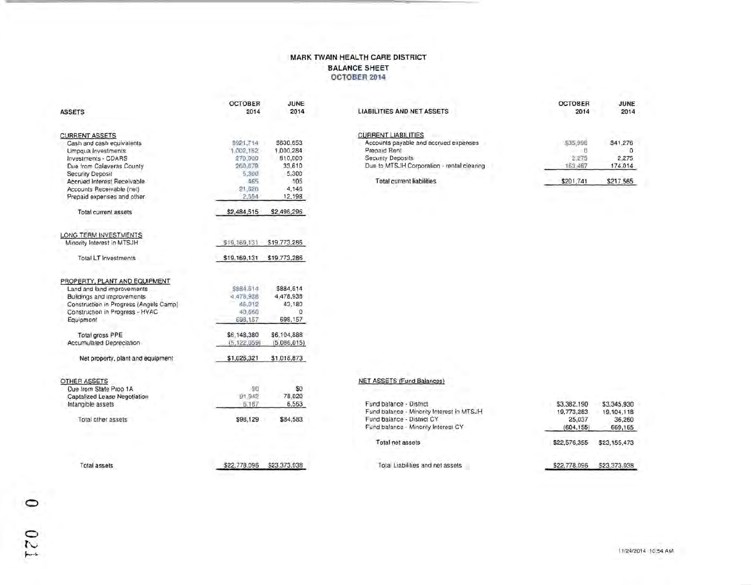### MARK TWAIN HEALTH CARE DISTRICT BALANCE SHEET OCTOBER 2014

|                                        | <b>OCTOBER</b> | JUNE         |                                            | <b>OCTOBER</b> | JUNE         |
|----------------------------------------|----------------|--------------|--------------------------------------------|----------------|--------------|
| <b>ASSETS</b>                          | 2014           | 2014         | <b>LIABILITIES AND NET ASSETS</b>          | 2014           | 2014         |
| <b>CURRENT ASSETS</b>                  |                |              | <b>CURRENT LIABILITIES</b>                 |                |              |
| Cash and cash equivalents              | 1921,714       | \$630.653    | Accounts payable and accrued expenses      | \$35,998       | \$41.276     |
| Umpqua Investments:                    | 1.002,182      | 1,000,284    | Prepaid Rent                               | $\sim$ 0       | $\circ$      |
| Investments - CDARS                    | 270,000        | 810,000      | Security Deposits                          | 2.275          | 2,275        |
| Due from Calaveras County              | 260,679        | 33.610       | Due to MTSJH Corporation - rental clearing | 163.467        | 174,014      |
|                                        | <b>6,300</b>   | 5,300        |                                            |                |              |
| <b>Security Deposit</b>                | 465            | 105          | <b>Total current liabilities</b>           | \$201,741      | \$217.565    |
| Accrued Interest Receivable            |                |              |                                            |                |              |
| Accounts Receivable (net)              | 21,620         | 4.146        |                                            |                |              |
| Prepaid expenses and other             | 2,554          | 12,198       |                                            |                |              |
| <b>Total current assets</b>            | \$2,484,515    | \$2,496,296  |                                            |                |              |
| LONG TERM INVESTMENTS                  |                |              |                                            |                |              |
| Minority Interest in MTSJH             | \$19,169,131   | \$19,773,286 |                                            |                |              |
| <b>Total LT Investments</b>            | \$19,169,131   | \$19,773,286 |                                            |                |              |
| PROPERTY, PLANT AND EQUIPMENT          |                |              |                                            |                |              |
| Land and land improvements             | 5884.614       | \$884,614    |                                            |                |              |
| Buildings and improvements             | 4.478.93B      | 4.478.938    |                                            |                |              |
| Construction in Progress (Angels Camp) | 46.012         | 43,180       |                                            |                |              |
| Construction in Progress - HVAC        | 40,660         | $\theta$     |                                            |                |              |
| Equipment                              | 698,157        | 698,157      |                                            |                |              |
| Total gross PPE                        | \$6,148,380    | \$6,104,888  |                                            |                |              |
| Accumulated Depreciation               | (5, 122, 059)  | (5.086.015)  |                                            |                |              |
| Net property, plant and equipment      | \$1,026,321    | \$1,018,873  |                                            |                |              |
| <b>OTHER ASSETS</b>                    |                |              | <b>NET ASSETS (Fund Balances)</b>          |                |              |
| Due from State Prop 1A                 | 90             | \$0          |                                            |                |              |
| Captalized Lease Negotiation           | 91,942         | 78,020       |                                            |                |              |
| Intangible assets                      | 6.187          | 6,563        | Fund balance - District                    | \$3,382,190    | \$3,345,930  |
|                                        |                |              | Fund balance - Minority Interest in MTSJH  | 19.773,283     | 19.104,118   |
| Total other assets                     | \$98,129       | \$84,583     | Fund balance - District CY                 | 25,037         | 36,260       |
|                                        |                |              | Fund balance - Minority Interest CY        | (604, 155)     | 669,165      |
|                                        |                |              | Total net assets                           | \$22,576,355   | \$23,155,473 |
| <b>Total assets</b>                    | \$22,778,096   | \$23,373,038 | Total Liabilities and net assets           |                |              |
|                                        |                |              |                                            | \$22,778,096   | \$23,373,038 |